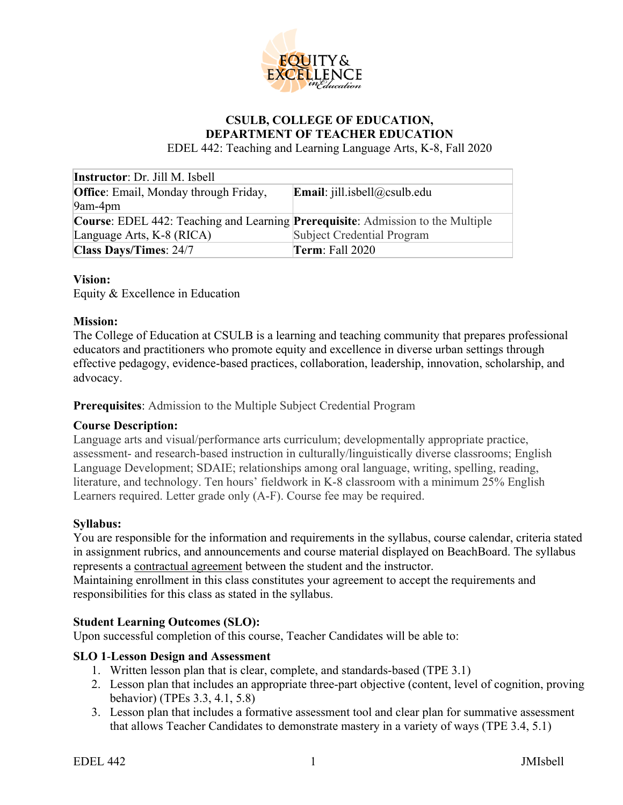

# **CSULB, COLLEGE OF EDUCATION, DEPARTMENT OF TEACHER EDUCATION**

EDEL 442: Teaching and Learning Language Arts, K-8, Fall 2020

| <b>Instructor</b> : Dr. Jill M. Isbell                                                         |                                     |  |
|------------------------------------------------------------------------------------------------|-------------------------------------|--|
| <b>Office:</b> Email, Monday through Friday,                                                   | <b>Email:</b> jill.isbell@csulb.edu |  |
| 9am-4pm                                                                                        |                                     |  |
| <b>Course:</b> EDEL 442: Teaching and Learning <b>Prerequisite</b> : Admission to the Multiple |                                     |  |
| Language Arts, K-8 (RICA)                                                                      | Subject Credential Program          |  |
| Class Days/Times: 24/7                                                                         | <b>Term:</b> Fall 2020              |  |

#### **Vision:**

Equity & Excellence in Education

#### **Mission:**

The College of Education at CSULB is a learning and teaching community that prepares professional educators and practitioners who promote equity and excellence in diverse urban settings through effective pedagogy, evidence-based practices, collaboration, leadership, innovation, scholarship, and advocacy.

**Prerequisites**: Admission to the Multiple Subject Credential Program

#### **Course Description:**

Language arts and visual/performance arts curriculum; developmentally appropriate practice, assessment- and research-based instruction in culturally/linguistically diverse classrooms; English Language Development; SDAIE; relationships among oral language, writing, spelling, reading, literature, and technology. Ten hours' fieldwork in K-8 classroom with a minimum 25% English Learners required. Letter grade only (A-F). Course fee may be required.

#### **Syllabus:**

You are responsible for the information and requirements in the syllabus, course calendar, criteria stated in assignment rubrics, and announcements and course material displayed on BeachBoard. The syllabus represents a contractual agreement between the student and the instructor.

Maintaining enrollment in this class constitutes your agreement to accept the requirements and responsibilities for this class as stated in the syllabus.

#### **Student Learning Outcomes (SLO):**

Upon successful completion of this course, Teacher Candidates will be able to:

#### **SLO 1**-**Lesson Design and Assessment**

- 1. Written lesson plan that is clear, complete, and standards-based (TPE 3.1)
- 2. Lesson plan that includes an appropriate three-part objective (content, level of cognition, proving behavior) (TPEs 3.3, 4.1, 5.8)
- 3. Lesson plan that includes a formative assessment tool and clear plan for summative assessment that allows Teacher Candidates to demonstrate mastery in a variety of ways (TPE 3.4, 5.1)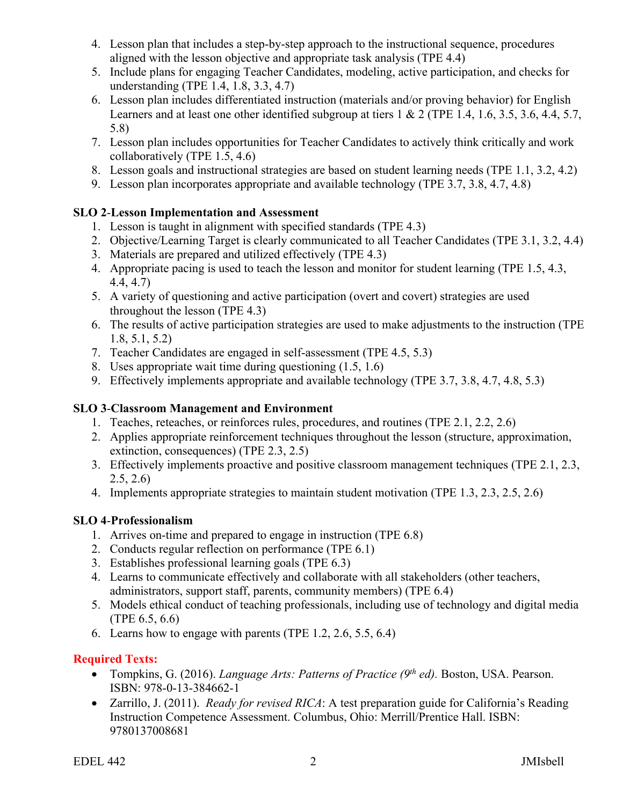- 4. Lesson plan that includes a step-by-step approach to the instructional sequence, procedures aligned with the lesson objective and appropriate task analysis (TPE 4.4)
- 5. Include plans for engaging Teacher Candidates, modeling, active participation, and checks for understanding (TPE 1.4, 1.8, 3.3, 4.7)
- 6. Lesson plan includes differentiated instruction (materials and/or proving behavior) for English Learners and at least one other identified subgroup at tiers 1 & 2 (TPE 1.4, 1.6, 3.5, 3.6, 4.4, 5.7, 5.8)
- 7. Lesson plan includes opportunities for Teacher Candidates to actively think critically and work collaboratively (TPE 1.5, 4.6)
- 8. Lesson goals and instructional strategies are based on student learning needs (TPE 1.1, 3.2, 4.2)
- 9. Lesson plan incorporates appropriate and available technology (TPE 3.7, 3.8, 4.7, 4.8)

# **SLO 2**-**Lesson Implementation and Assessment**

- 1. Lesson is taught in alignment with specified standards (TPE 4.3)
- 2. Objective/Learning Target is clearly communicated to all Teacher Candidates (TPE 3.1, 3.2, 4.4)
- 3. Materials are prepared and utilized effectively (TPE 4.3)
- 4. Appropriate pacing is used to teach the lesson and monitor for student learning (TPE 1.5, 4.3, 4.4, 4.7)
- 5. A variety of questioning and active participation (overt and covert) strategies are used throughout the lesson (TPE 4.3)
- 6. The results of active participation strategies are used to make adjustments to the instruction (TPE 1.8, 5.1, 5.2)
- 7. Teacher Candidates are engaged in self-assessment (TPE 4.5, 5.3)
- 8. Uses appropriate wait time during questioning (1.5, 1.6)
- 9. Effectively implements appropriate and available technology (TPE 3.7, 3.8, 4.7, 4.8, 5.3)

# **SLO 3**-**Classroom Management and Environment**

- 1. Teaches, reteaches, or reinforces rules, procedures, and routines (TPE 2.1, 2.2, 2.6)
- 2. Applies appropriate reinforcement techniques throughout the lesson (structure, approximation, extinction, consequences) (TPE 2.3, 2.5)
- 3. Effectively implements proactive and positive classroom management techniques (TPE 2.1, 2.3, 2.5, 2.6)
- 4. Implements appropriate strategies to maintain student motivation (TPE 1.3, 2.3, 2.5, 2.6)

# **SLO 4**-**Professionalism**

- 1. Arrives on-time and prepared to engage in instruction (TPE 6.8)
- 2. Conducts regular reflection on performance (TPE 6.1)
- 3. Establishes professional learning goals (TPE 6.3)
- 4. Learns to communicate effectively and collaborate with all stakeholders (other teachers, administrators, support staff, parents, community members) (TPE 6.4)
- 5. Models ethical conduct of teaching professionals, including use of technology and digital media (TPE 6.5, 6.6)
- 6. Learns how to engage with parents (TPE 1.2, 2.6, 5.5, 6.4)

# **Required Texts:**

- Tompkins, G. (2016). *Language Arts: Patterns of Practice (9th ed).* Boston, USA. Pearson. ISBN: 978-0-13-384662-1
- Zarrillo, J. (2011). *Ready for revised RICA*: A test preparation guide for California's Reading Instruction Competence Assessment. Columbus, Ohio: Merrill/Prentice Hall. ISBN: 9780137008681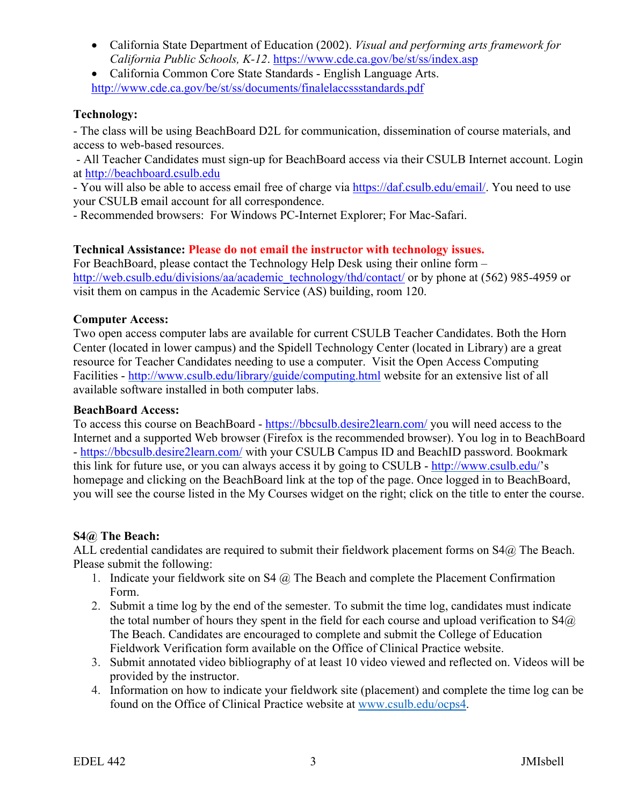- California State Department of Education (2002). *Visual and performing arts framework for California Public Schools, K-12*. <https://www.cde.ca.gov/be/st/ss/index.asp>
- California Common Core State Standards English Language Arts. <http://www.cde.ca.gov/be/st/ss/documents/finalelaccssstandards.pdf>

#### **Technology:**

- The class will be using BeachBoard D2L for communication, dissemination of course materials, and access to web-based resources.

- All Teacher Candidates must sign-up for BeachBoard access via their CSULB Internet account. Login at http://beachboard.csulb.edu

- You will also be able to access email free of charge via [https://daf.csulb.edu/email/.](https://daf.csulb.edu/email/) You need to use your CSULB email account for all correspondence.

- Recommended browsers: For Windows PC-Internet Explorer; For Mac-Safari.

## **Technical Assistance: Please do not email the instructor with technology issues.**

For BeachBoard, please contact the Technology Help Desk using their online form – [http://web.csulb.edu/divisions/aa/academic\\_technology/thd/contact/](http://web.csulb.edu/divisions/aa/academic_technology/thd/contact/) or by phone at (562) 985-4959 or visit them on campus in the Academic Service (AS) building, room 120.

## **Computer Access:**

Two open access computer labs are available for current CSULB Teacher Candidates. Both the Horn Center (located in lower campus) and the Spidell Technology Center (located in Library) are a great resource for Teacher Candidates needing to use a computer. Visit the Open Access Computing Facilities - <http://www.csulb.edu/library/guide/computing.html> website for an extensive list of all available software installed in both computer labs.

#### **BeachBoard Access:**

To access this course on BeachBoard - <https://bbcsulb.desire2learn.com/> you will need access to the Internet and a supported Web browser (Firefox is the recommended browser). You log in to BeachBoard - <https://bbcsulb.desire2learn.com/> with your CSULB Campus ID and BeachID password. Bookmark this link for future use, or you can always access it by going to CSULB - [http://www.csulb.edu/'](http://www.csulb.edu/)s homepage and clicking on the BeachBoard link at the top of the page. Once logged in to BeachBoard, you will see the course listed in the My Courses widget on the right; click on the title to enter the course.

#### **S4@ The Beach:**

ALL credential candidates are required to submit their fieldwork placement forms on S4@ The Beach. Please submit the following:

- 1. Indicate your fieldwork site on S4  $\omega$  The Beach and complete the Placement Confirmation Form.
- 2. Submit a time log by the end of the semester. To submit the time log, candidates must indicate the total number of hours they spent in the field for each course and upload verification to  $S4(\hat{a})$ The Beach. Candidates are encouraged to complete and submit the College of Education Fieldwork Verification form available on the Office of Clinical Practice website.
- 3. Submit annotated video bibliography of at least 10 video viewed and reflected on. Videos will be provided by the instructor.
- 4. Information on how to indicate your fieldwork site (placement) and complete the time log can be found on the Office of Clinical Practice website at [www.csulb.edu/ocps4.](http://www.csulb.edu/ocps4)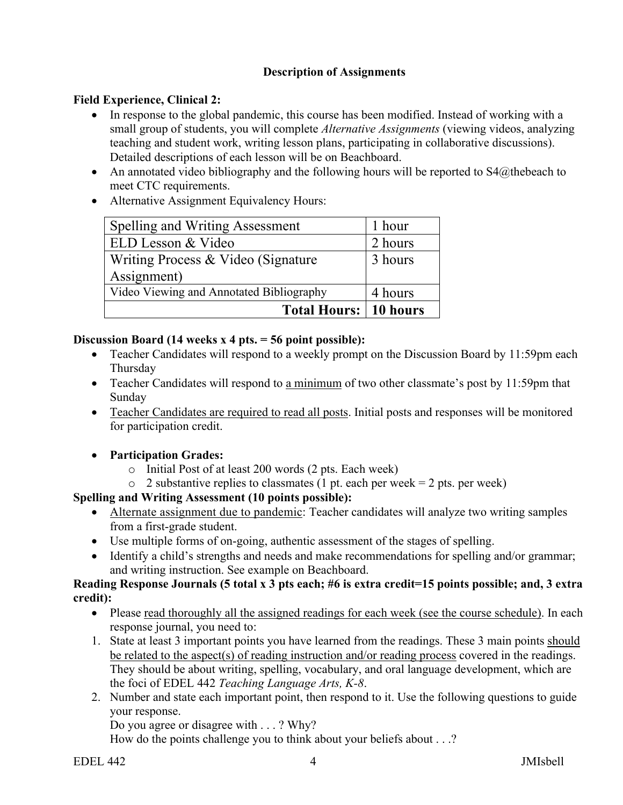## **Description of Assignments**

## **Field Experience, Clinical 2:**

- In response to the global pandemic, this course has been modified. Instead of working with a small group of students, you will complete *Alternative Assignments* (viewing videos, analyzing teaching and student work, writing lesson plans, participating in collaborative discussions). Detailed descriptions of each lesson will be on Beachboard.
- An annotated video bibliography and the following hours will be reported to  $S_4(a)$ thebeach to meet CTC requirements.
- Alternative Assignment Equivalency Hours:

| Spelling and Writing Assessment          | 1 hour  |
|------------------------------------------|---------|
| ELD Lesson & Video                       | 2 hours |
| Writing Process & Video (Signature       | 3 hours |
| Assignment)                              |         |
| Video Viewing and Annotated Bibliography | 4 hours |
| <b>Total Hours: 10 hours</b>             |         |

## **Discussion Board (14 weeks x 4 pts. = 56 point possible):**

- Teacher Candidates will respond to a weekly prompt on the Discussion Board by 11:59pm each Thursday
- Teacher Candidates will respond to a minimum of two other classmate's post by 11:59pm that Sunday
- Teacher Candidates are required to read all posts. Initial posts and responses will be monitored for participation credit.
- **Participation Grades:**
	- o Initial Post of at least 200 words (2 pts. Each week)
	- $\circ$  2 substantive replies to classmates (1 pt. each per week = 2 pts. per week)

# **Spelling and Writing Assessment (10 points possible):**

- Alternate assignment due to pandemic: Teacher candidates will analyze two writing samples from a first-grade student.
- Use multiple forms of on-going, authentic assessment of the stages of spelling.
- Identify a child's strengths and needs and make recommendations for spelling and/or grammar; and writing instruction. See example on Beachboard.

#### **Reading Response Journals (5 total x 3 pts each; #6 is extra credit=15 points possible; and, 3 extra credit):**

- Please read thoroughly all the assigned readings for each week (see the course schedule). In each response journal, you need to:
- 1. State at least 3 important points you have learned from the readings. These 3 main points should be related to the aspect(s) of reading instruction and/or reading process covered in the readings. They should be about writing, spelling, vocabulary, and oral language development, which are the foci of EDEL 442 *Teaching Language Arts, K-8*.
- 2. Number and state each important point, then respond to it. Use the following questions to guide your response.

Do you agree or disagree with . . . ? Why?

How do the points challenge you to think about your beliefs about . . .?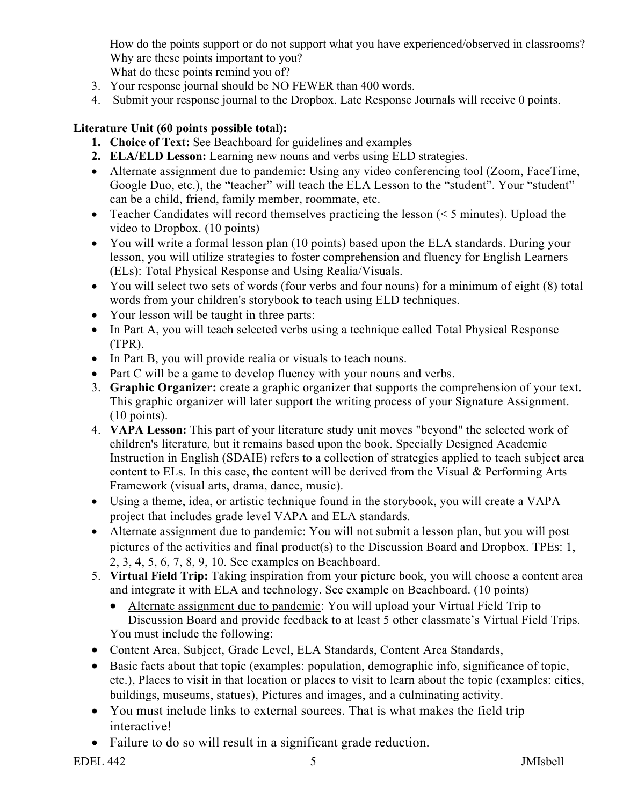How do the points support or do not support what you have experienced/observed in classrooms? Why are these points important to you?

What do these points remind you of?

- 3. Your response journal should be NO FEWER than 400 words.
- 4. Submit your response journal to the Dropbox. Late Response Journals will receive 0 points.

# **Literature Unit (60 points possible total):**

- **1. Choice of Text:** See Beachboard for guidelines and examples
- **2. ELA/ELD Lesson:** Learning new nouns and verbs using ELD strategies.
- Alternate assignment due to pandemic: Using any video conferencing tool (Zoom, FaceTime, Google Duo, etc.), the "teacher" will teach the ELA Lesson to the "student". Your "student" can be a child, friend, family member, roommate, etc.
- Teacher Candidates will record themselves practicing the lesson  $(< 5$  minutes). Upload the video to Dropbox. (10 points)
- You will write a formal lesson plan (10 points) based upon the ELA standards. During your lesson, you will utilize strategies to foster comprehension and fluency for English Learners (ELs): Total Physical Response and Using Realia/Visuals.
- You will select two sets of words (four verbs and four nouns) for a minimum of eight (8) total words from your children's storybook to teach using ELD techniques.
- Your lesson will be taught in three parts:
- In Part A, you will teach selected verbs using a technique called Total Physical Response (TPR).
- In Part B, you will provide realia or visuals to teach nouns.
- Part C will be a game to develop fluency with your nouns and verbs.
- 3. **Graphic Organizer:** create a graphic organizer that supports the comprehension of your text. This graphic organizer will later support the writing process of your Signature Assignment. (10 points).
- 4. **VAPA Lesson:** This part of your literature study unit moves "beyond" the selected work of children's literature, but it remains based upon the book. Specially Designed Academic Instruction in English (SDAIE) refers to a collection of strategies applied to teach subject area content to ELs. In this case, the content will be derived from the Visual & Performing Arts Framework (visual arts, drama, dance, music).
- Using a theme, idea, or artistic technique found in the storybook, you will create a VAPA project that includes grade level VAPA and ELA standards.
- Alternate assignment due to pandemic: You will not submit a lesson plan, but you will post pictures of the activities and final product(s) to the Discussion Board and Dropbox. TPEs: 1, 2, 3, 4, 5, 6, 7, 8, 9, 10. See examples on Beachboard.
- 5. **Virtual Field Trip:** Taking inspiration from your picture book, you will choose a content area and integrate it with ELA and technology. See example on Beachboard. (10 points)
	- Alternate assignment due to pandemic: You will upload your Virtual Field Trip to Discussion Board and provide feedback to at least 5 other classmate's Virtual Field Trips. You must include the following:
- Content Area, Subject, Grade Level, ELA Standards, Content Area Standards,
- Basic facts about that topic (examples: population, demographic info, significance of topic, etc.), Places to visit in that location or places to visit to learn about the topic (examples: cities, buildings, museums, statues), Pictures and images, and a culminating activity.
- You must include links to external sources. That is what makes the field trip interactive!
- Failure to do so will result in a significant grade reduction.

EDEL 442 S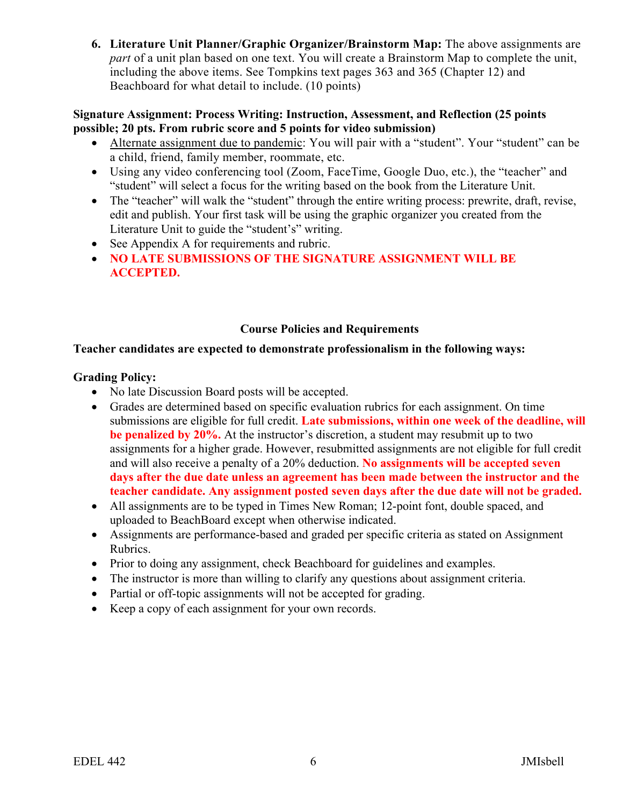**6. Literature Unit Planner/Graphic Organizer/Brainstorm Map:** The above assignments are *part* of a unit plan based on one text. You will create a Brainstorm Map to complete the unit, including the above items. See Tompkins text pages 363 and 365 (Chapter 12) and Beachboard for what detail to include. (10 points)

#### **Signature Assignment: Process Writing: Instruction, Assessment, and Reflection (25 points possible; 20 pts. From rubric score and 5 points for video submission)**

- Alternate assignment due to pandemic: You will pair with a "student". Your "student" can be a child, friend, family member, roommate, etc.
- Using any video conferencing tool (Zoom, FaceTime, Google Duo, etc.), the "teacher" and "student" will select a focus for the writing based on the book from the Literature Unit.
- The "teacher" will walk the "student" through the entire writing process: prewrite, draft, revise, edit and publish. Your first task will be using the graphic organizer you created from the Literature Unit to guide the "student's" writing.
- See Appendix A for requirements and rubric.
- **NO LATE SUBMISSIONS OF THE SIGNATURE ASSIGNMENT WILL BE ACCEPTED.**

#### **Course Policies and Requirements**

#### **Teacher candidates are expected to demonstrate professionalism in the following ways:**

#### **Grading Policy:**

- No late Discussion Board posts will be accepted.
- Grades are determined based on specific evaluation rubrics for each assignment. On time submissions are eligible for full credit. **Late submissions, within one week of the deadline, will be penalized by 20%.** At the instructor's discretion, a student may resubmit up to two assignments for a higher grade. However, resubmitted assignments are not eligible for full credit and will also receive a penalty of a 20% deduction. **No assignments will be accepted seven days after the due date unless an agreement has been made between the instructor and the teacher candidate. Any assignment posted seven days after the due date will not be graded.**
- All assignments are to be typed in Times New Roman; 12-point font, double spaced, and uploaded to BeachBoard except when otherwise indicated.
- Assignments are performance-based and graded per specific criteria as stated on Assignment Rubrics.
- Prior to doing any assignment, check Beachboard for guidelines and examples.
- The instructor is more than willing to clarify any questions about assignment criteria.
- Partial or off-topic assignments will not be accepted for grading.
- Keep a copy of each assignment for your own records.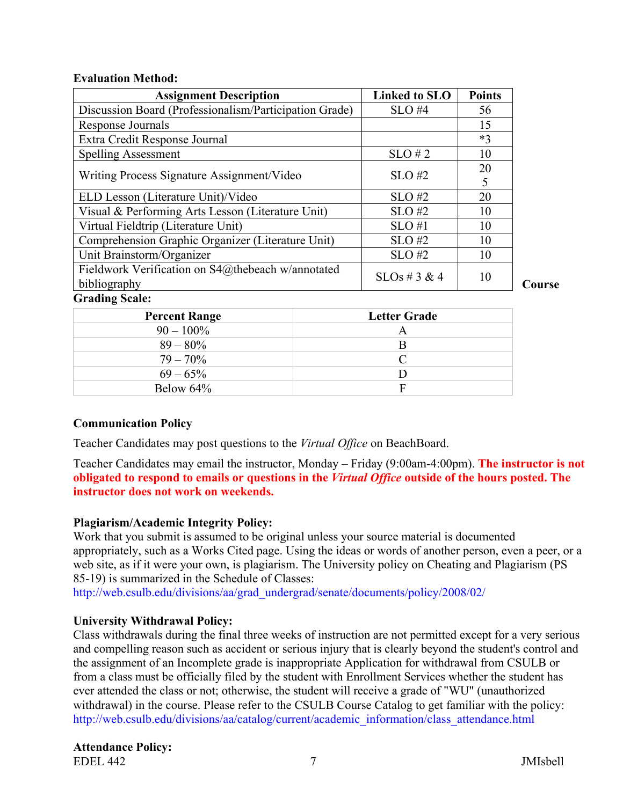#### **Evaluation Method:**

| <b>Assignment Description</b>                                     | <b>Linked to SLO</b> | <b>Points</b> |
|-------------------------------------------------------------------|----------------------|---------------|
| Discussion Board (Professionalism/Participation Grade)            | $SLO$ #4             | 56            |
| Response Journals                                                 |                      | 15            |
| Extra Credit Response Journal                                     |                      | $*3$          |
| <b>Spelling Assessment</b>                                        | $SLO \# 2$           | 10            |
| Writing Process Signature Assignment/Video                        | $SLO$ #2             | 20<br>5       |
| ELD Lesson (Literature Unit)/Video                                | $SLO$ #2             | 20            |
| Visual & Performing Arts Lesson (Literature Unit)                 | $SLO$ #2             | 10            |
| Virtual Fieldtrip (Literature Unit)                               | $SLO$ #1             | 10            |
| Comprehension Graphic Organizer (Literature Unit)                 | $SLO$ #2             | 10            |
| Unit Brainstorm/Organizer                                         | $SLO$ #2             | 10            |
| Fieldwork Verification on S4@thebeach w/annotated<br>bibliography | $SLOs \# 3 \& 4$     | 10            |
| <b>Grading Scale:</b>                                             |                      |               |

**Course** 

| <b>Percent Range</b> | <b>Letter Grade</b> |
|----------------------|---------------------|
| $90 - 100\%$         | $\forall$           |
| $89 - 80\%$          |                     |
| $79 - 70\%$          |                     |
| $69 - 65\%$          |                     |
| Below 64%            | F                   |

#### **Communication Policy**

Teacher Candidates may post questions to the *Virtual Office* on BeachBoard.

Teacher Candidates may email the instructor, Monday – Friday (9:00am-4:00pm). **The instructor is not obligated to respond to emails or questions in the** *Virtual Office* **outside of the hours posted. The instructor does not work on weekends.**

#### **Plagiarism/Academic Integrity Policy:**

Work that you submit is assumed to be original unless your source material is documented appropriately, such as a Works Cited page. Using the ideas or words of another person, even a peer, or a web site, as if it were your own, is plagiarism. The University policy on Cheating and Plagiarism (PS 85-19) is summarized in the Schedule of Classes:

[http://web.csulb.edu/divisions/aa/grad\\_undergrad/senate/documents/policy/2008/02/](http://web.csulb.edu/divisions/aa/grad_undergrad/senate/documents/policy/2008/02/)

#### **University Withdrawal Policy:**

Class withdrawals during the final three weeks of instruction are not permitted except for a very serious and compelling reason such as accident or serious injury that is clearly beyond the student's control and the assignment of an Incomplete grade is inappropriate Application for withdrawal from CSULB or from a class must be officially filed by the student with Enrollment Services whether the student has ever attended the class or not; otherwise, the student will receive a grade of "WU" (unauthorized withdrawal) in the course. Please refer to the CSULB Course Catalog to get familiar with the policy: [http://web.csulb.edu/divisions/aa/catalog/current/academic\\_information/class\\_attendance.html](http://www.csulb.edu/divisions/aa/catalog/current/academic_regulations/withdrawal_policy.html#http://web.csulb.edu/divisions/aa/catalog/current/academic_information/class_attendance.html)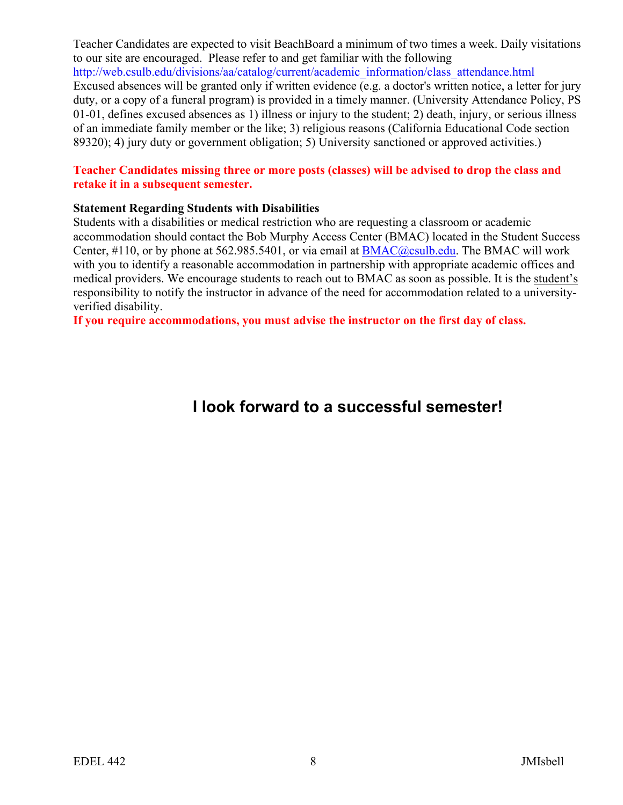Teacher Candidates are expected to visit BeachBoard a minimum of two times a week. Daily visitations to our site are encouraged. Please refer to and get familiar with the following [http://web.csulb.edu/divisions/aa/catalog/current/academic\\_information/class\\_attendance.html](https://mail.csulb.edu/owa/redir.aspx?C=yInuPJz7skStABOHcocy3SvzCSncrNIIG3PEm04769DKA2ZBK1YQj5PmzJvGSEQRG6mSXVXOtwk.&URL=http%3a%2f%2fweb.csulb.edu%2fdivisions%2faa%2fcatalog%2fcurrent%2facademic_information%2fclass_attendance.html) Excused absences will be granted only if written evidence (e.g. a doctor's written notice, a letter for jury duty, or a copy of a funeral program) is provided in a timely manner. (University Attendance Policy, PS 01-01, defines excused absences as 1) illness or injury to the student; 2) death, injury, or serious illness of an immediate family member or the like; 3) religious reasons (California Educational Code section 89320); 4) jury duty or government obligation; 5) University sanctioned or approved activities.)

#### **Teacher Candidates missing three or more posts (classes) will be advised to drop the class and retake it in a subsequent semester.**

#### **Statement Regarding Students with Disabilities**

Students with a disabilities or medical restriction who are requesting a classroom or academic accommodation should contact the Bob Murphy Access Center (BMAC) located in the Student Success Center, #110, or by phone at 562.985.5401, or via email at [BMAC@csulb.edu.](mailto:BMAC@csulb.edu) The BMAC will work with you to identify a reasonable accommodation in partnership with appropriate academic offices and medical providers. We encourage students to reach out to BMAC as soon as possible. It is the student's responsibility to notify the instructor in advance of the need for accommodation related to a universityverified disability.

**If you require accommodations, you must advise the instructor on the first day of class.** 

# **I look forward to a successful semester!**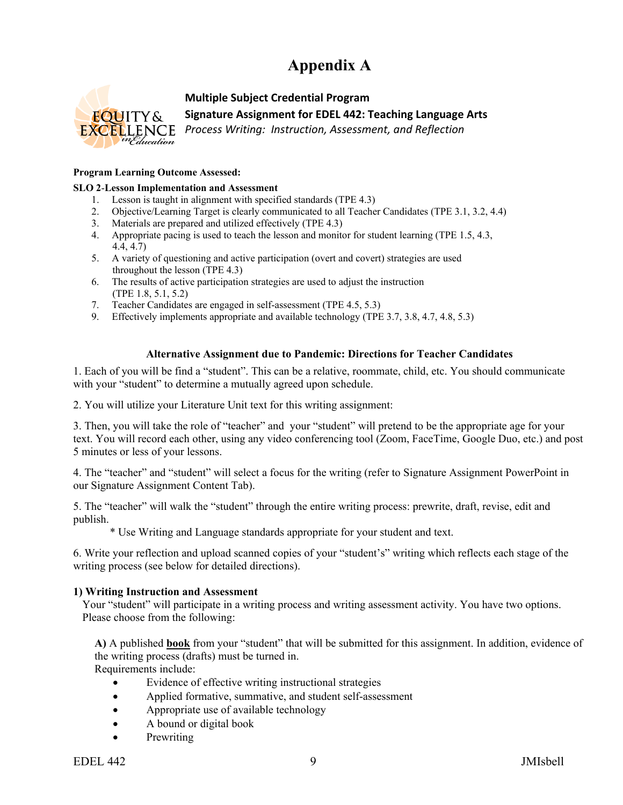# **Appendix A**



#### **Multiple Subject Credential Program**

**Signature Assignment for EDEL 442: Teaching Language Arts**

*Process Writing: Instruction, Assessment, and Reflection*

#### **Program Learning Outcome Assessed:**

#### **SLO 2**-**Lesson Implementation and Assessment**

- 1. Lesson is taught in alignment with specified standards (TPE 4.3)
- 2. Objective/Learning Target is clearly communicated to all Teacher Candidates (TPE 3.1, 3.2, 4.4)
- 3. Materials are prepared and utilized effectively (TPE 4.3)
- 4. Appropriate pacing is used to teach the lesson and monitor for student learning (TPE 1.5, 4.3, 4.4, 4.7)
- 5. A variety of questioning and active participation (overt and covert) strategies are used throughout the lesson (TPE 4.3)
- 6. The results of active participation strategies are used to adjust the instruction (TPE 1.8, 5.1, 5.2)
- 7. Teacher Candidates are engaged in self-assessment (TPE 4.5, 5.3)
- 9. Effectively implements appropriate and available technology (TPE 3.7, 3.8, 4.7, 4.8, 5.3)

#### **Alternative Assignment due to Pandemic: Directions for Teacher Candidates**

1. Each of you will be find a "student". This can be a relative, roommate, child, etc. You should communicate with your "student" to determine a mutually agreed upon schedule.

2. You will utilize your Literature Unit text for this writing assignment:

3. Then, you will take the role of "teacher" and your "student" will pretend to be the appropriate age for your text. You will record each other, using any video conferencing tool (Zoom, FaceTime, Google Duo, etc.) and post 5 minutes or less of your lessons.

4. The "teacher" and "student" will select a focus for the writing (refer to Signature Assignment PowerPoint in our Signature Assignment Content Tab).

5. The "teacher" will walk the "student" through the entire writing process: prewrite, draft, revise, edit and publish.

\* Use Writing and Language standards appropriate for your student and text.

6. Write your reflection and upload scanned copies of your "student's" writing which reflects each stage of the writing process (see below for detailed directions).

#### **1) Writing Instruction and Assessment**

Your "student" will participate in a writing process and writing assessment activity. You have two options. Please choose from the following:

**A)** A published **book** from your "student" that will be submitted for this assignment. In addition, evidence of the writing process (drafts) must be turned in.

Requirements include:

- Evidence of effective writing instructional strategies
- Applied formative, summative, and student self-assessment
- Appropriate use of available technology
- A bound or digital book
- **Prewriting**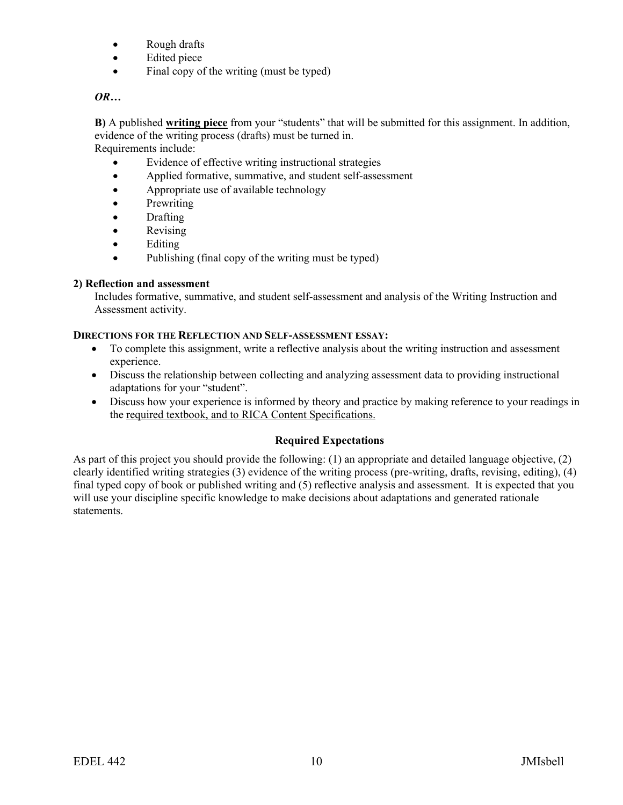- Rough drafts
- Edited piece
- Final copy of the writing (must be typed)

## *OR…*

**B)** A published **writing piece** from your "students" that will be submitted for this assignment. In addition, evidence of the writing process (drafts) must be turned in.

Requirements include:

- Evidence of effective writing instructional strategies
- Applied formative, summative, and student self-assessment
- Appropriate use of available technology
- **Prewriting**
- Drafting
- **Revising**
- Editing
- Publishing (final copy of the writing must be typed)

## **2) Reflection and assessment**

Includes formative, summative, and student self-assessment and analysis of the Writing Instruction and Assessment activity.

#### **DIRECTIONS FOR THE REFLECTION AND SELF-ASSESSMENT ESSAY:**

- To complete this assignment, write a reflective analysis about the writing instruction and assessment experience.
- Discuss the relationship between collecting and analyzing assessment data to providing instructional adaptations for your "student".
- Discuss how your experience is informed by theory and practice by making reference to your readings in the required textbook, and to RICA Content Specifications.

# **Required Expectations**

As part of this project you should provide the following: (1) an appropriate and detailed language objective, (2) clearly identified writing strategies (3) evidence of the writing process (pre-writing, drafts, revising, editing), (4) final typed copy of book or published writing and (5) reflective analysis and assessment. It is expected that you will use your discipline specific knowledge to make decisions about adaptations and generated rationale statements.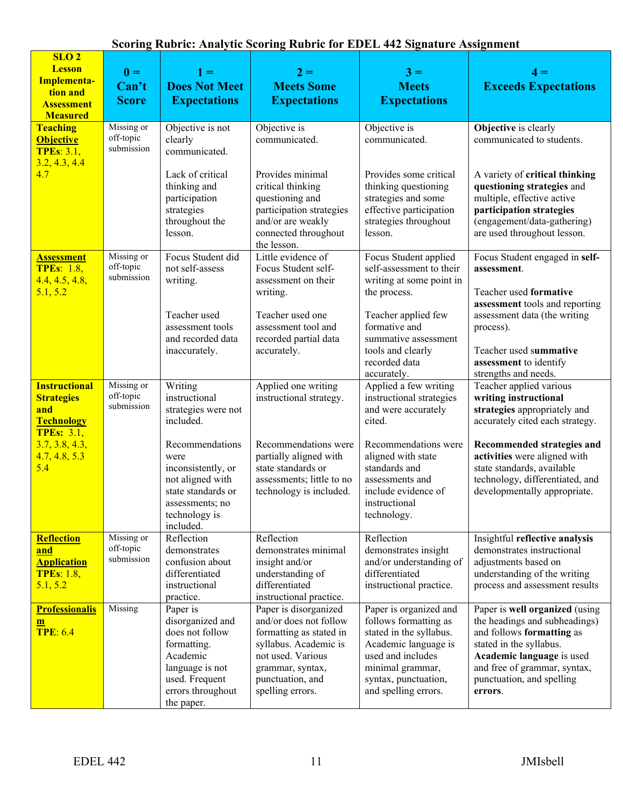| SLO <sub>2</sub><br><b>Lesson</b><br>Implementa-<br>tion and<br><b>Assessment</b><br><b>Measured</b> | $\mathbf{0} =$<br>Can't<br><b>Score</b> | $1 =$<br><b>Does Not Meet</b><br><b>Expectations</b>                                                                                               | $2 =$<br><b>Meets Some</b><br><b>Expectations</b>                                                                                                                                    | $3 =$<br><b>Meets</b><br><b>Expectations</b>                                                                                                                                                | $4 =$<br><b>Exceeds Expectations</b>                                                                                                                                                                                         |
|------------------------------------------------------------------------------------------------------|-----------------------------------------|----------------------------------------------------------------------------------------------------------------------------------------------------|--------------------------------------------------------------------------------------------------------------------------------------------------------------------------------------|---------------------------------------------------------------------------------------------------------------------------------------------------------------------------------------------|------------------------------------------------------------------------------------------------------------------------------------------------------------------------------------------------------------------------------|
| <b>Teaching</b><br><b>Objective</b><br><b>TPEs: 3.1,</b><br>3.2, 4.3, 4.4                            | Missing or<br>off-topic<br>submission   | Objective is not<br>clearly<br>communicated.                                                                                                       | Objective is<br>communicated.                                                                                                                                                        | Objective is<br>communicated.                                                                                                                                                               | <b>Objective</b> is clearly<br>communicated to students.                                                                                                                                                                     |
| 4.7                                                                                                  |                                         | Lack of critical<br>thinking and<br>participation<br>strategies<br>throughout the<br>lesson.                                                       | Provides minimal<br>critical thinking<br>questioning and<br>participation strategies<br>and/or are weakly<br>connected throughout<br>the lesson.                                     | Provides some critical<br>thinking questioning<br>strategies and some<br>effective participation<br>strategies throughout<br>lesson.                                                        | A variety of critical thinking<br>questioning strategies and<br>multiple, effective active<br>participation strategies<br>(engagement/data-gathering)<br>are used throughout lesson.                                         |
| <b>Assessment</b><br><b>TPEs: 1.8,</b><br>4.4, 4.5, 4.8,<br>5.1, 5.2                                 | Missing or<br>off-topic<br>submission   | Focus Student did<br>not self-assess<br>writing.                                                                                                   | Little evidence of<br>Focus Student self-<br>assessment on their<br>writing.                                                                                                         | Focus Student applied<br>self-assessment to their<br>writing at some point in<br>the process.                                                                                               | Focus Student engaged in self-<br>assessment.<br>Teacher used formative                                                                                                                                                      |
|                                                                                                      |                                         | Teacher used<br>assessment tools<br>and recorded data<br>inaccurately.                                                                             | Teacher used one<br>assessment tool and<br>recorded partial data<br>accurately.                                                                                                      | Teacher applied few<br>formative and<br>summative assessment<br>tools and clearly                                                                                                           | assessment tools and reporting<br>assessment data (the writing<br>process).<br>Teacher used summative                                                                                                                        |
|                                                                                                      |                                         |                                                                                                                                                    |                                                                                                                                                                                      | recorded data<br>accurately.                                                                                                                                                                | assessment to identify<br>strengths and needs.                                                                                                                                                                               |
| <b>Instructional</b><br><b>Strategies</b><br>and<br><b>Technology</b><br><b>TPEs: 3.1,</b>           | Missing or<br>off-topic<br>submission   | Writing<br>instructional<br>strategies were not<br>included.                                                                                       | Applied one writing<br>instructional strategy.                                                                                                                                       | Applied a few writing<br>instructional strategies<br>and were accurately<br>cited.                                                                                                          | Teacher applied various<br>writing instructional<br>strategies appropriately and<br>accurately cited each strategy.                                                                                                          |
| 3.7, 3.8, 4.3,<br>4.7, 4.8, 5.3<br>5.4                                                               |                                         | Recommendations<br>were<br>inconsistently, or<br>not aligned with<br>state standards or<br>assessments; no<br>technology is<br>included.           | Recommendations were<br>partially aligned with<br>state standards or<br>assessments; little to no<br>technology is included.                                                         | Recommendations were<br>aligned with state<br>standards and<br>assessments and<br>include evidence of<br>instructional<br>technology.                                                       | Recommended strategies and<br>activities were aligned with<br>state standards, available<br>technology, differentiated, and<br>developmentally appropriate.                                                                  |
| <b>Reflection</b><br>and<br><b>Application</b><br><b>TPEs: 1.8,</b><br>5.1, 5.2                      | Missing or<br>off-topic<br>submission   | Reflection<br>demonstrates<br>confusion about<br>differentiated<br>instructional<br>practice.                                                      | Reflection<br>demonstrates minimal<br>insight and/or<br>understanding of<br>differentiated<br>instructional practice.                                                                | Reflection<br>demonstrates insight<br>and/or understanding of<br>differentiated<br>instructional practice.                                                                                  | Insightful reflective analysis<br>demonstrates instructional<br>adjustments based on<br>understanding of the writing<br>process and assessment results                                                                       |
| <b>Professionalis</b><br>$\mathbf{m}$<br><b>TPE: 6.4</b>                                             | Missing                                 | Paper is<br>disorganized and<br>does not follow<br>formatting.<br>Academic<br>language is not<br>used. Frequent<br>errors throughout<br>the paper. | Paper is disorganized<br>and/or does not follow<br>formatting as stated in<br>syllabus. Academic is<br>not used. Various<br>grammar, syntax,<br>punctuation, and<br>spelling errors. | Paper is organized and<br>follows formatting as<br>stated in the syllabus.<br>Academic language is<br>used and includes<br>minimal grammar,<br>syntax, punctuation,<br>and spelling errors. | Paper is well organized (using<br>the headings and subheadings)<br>and follows formatting as<br>stated in the syllabus.<br>Academic language is used<br>and free of grammar, syntax,<br>punctuation, and spelling<br>errors. |